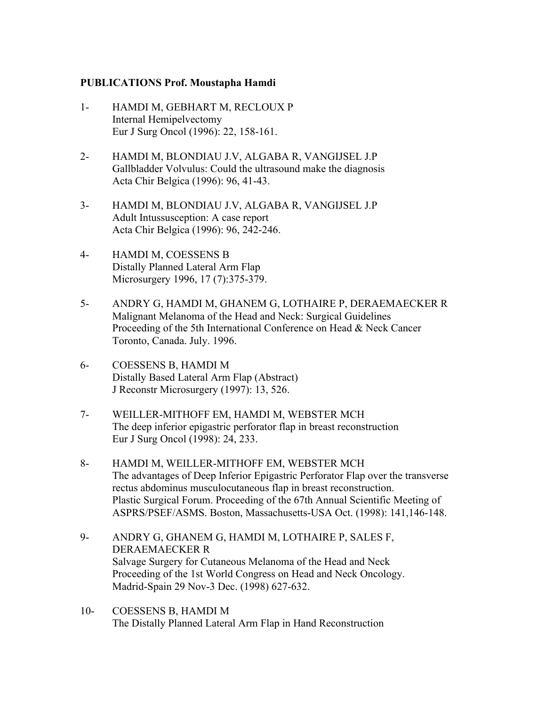## **PUBLICATIONS Prof. Moustapha Hamdi**

- 1- HAMDI M, GEBHART M, RECLOUX P Internal Hemipelvectomy Eur J Surg Oncol (1996): 22, 158-161.
- 2- HAMDI M, BLONDIAU J.V, ALGABA R, VANGIJSEL J.P Gallbladder Volvulus: Could the ultrasound make the diagnosis Acta Chir Belgica (1996): 96, 41-43.
- 3- HAMDI M, BLONDIAU J.V, ALGABA R, VANGIJSEL J.P Adult Intussusception: A case report Acta Chir Belgica (1996): 96, 242-246.
- 4- HAMDI M, COESSENS B Distally Planned Lateral Arm Flap Microsurgery 1996, 17 (7):375-379.
- 5- ANDRY G, HAMDI M, GHANEM G, LOTHAIRE P, DERAEMAECKER R Malignant Melanoma of the Head and Neck: Surgical Guidelines Proceeding of the 5th International Conference on Head & Neck Cancer Toronto, Canada. July. 1996.
- 6- COESSENS B, HAMDI M Distally Based Lateral Arm Flap (Abstract) J Reconstr Microsurgery (1997): 13, 526.
- 7- WEILLER-MITHOFF EM, HAMDI M, WEBSTER MCH The deep inferior epigastric perforator flap in breast reconstruction Eur J Surg Oncol (1998): 24, 233.
- 8- HAMDI M, WEILLER-MITHOFF EM, WEBSTER MCH The advantages of Deep Inferior Epigastric Perforator Flap over the transverse rectus abdominus musculocutaneous flap in breast reconstruction. Plastic Surgical Forum. Proceeding of the 67th Annual Scientific Meeting of ASPRS/PSEF/ASMS. Boston, Massachusetts-USA Oct. (1998): 141,146-148.
- 9- ANDRY G, GHANEM G, HAMDI M, LOTHAIRE P, SALES F, DERAEMAECKER R Salvage Surgery for Cutaneous Melanoma of the Head and Neck Proceeding of the 1st World Congress on Head and Neck Oncology. Madrid-Spain 29 Nov-3 Dec. (1998) 627-632.
- 10- COESSENS B, HAMDI M The Distally Planned Lateral Arm Flap in Hand Reconstruction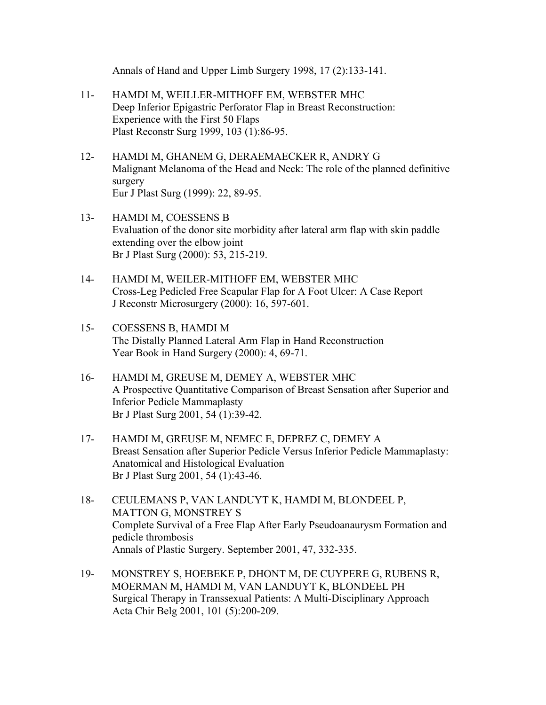Annals of Hand and Upper Limb Surgery 1998, 17 (2):133-141.

- 11- HAMDI M, WEILLER-MITHOFF EM, WEBSTER MHC Deep Inferior Epigastric Perforator Flap in Breast Reconstruction: Experience with the First 50 Flaps Plast Reconstr Surg 1999, 103 (1):86-95.
- 12- HAMDI M, GHANEM G, DERAEMAECKER R, ANDRY G Malignant Melanoma of the Head and Neck: The role of the planned definitive surgery Eur J Plast Surg (1999): 22, 89-95.
- 13- HAMDI M, COESSENS B Evaluation of the donor site morbidity after lateral arm flap with skin paddle extending over the elbow joint Br J Plast Surg (2000): 53, 215-219.
- 14- HAMDI M, WEILER-MITHOFF EM, WEBSTER MHC Cross-Leg Pedicled Free Scapular Flap for A Foot Ulcer: A Case Report J Reconstr Microsurgery (2000): 16, 597-601.
- 15- COESSENS B, HAMDI M The Distally Planned Lateral Arm Flap in Hand Reconstruction Year Book in Hand Surgery (2000): 4, 69-71.
- 16- HAMDI M, GREUSE M, DEMEY A, WEBSTER MHC A Prospective Quantitative Comparison of Breast Sensation after Superior and Inferior Pedicle Mammaplasty Br J Plast Surg 2001, 54 (1):39-42.
- 17- HAMDI M, GREUSE M, NEMEC E, DEPREZ C, DEMEY A Breast Sensation after Superior Pedicle Versus Inferior Pedicle Mammaplasty: Anatomical and Histological Evaluation Br J Plast Surg 2001, 54 (1):43-46.
- 18- CEULEMANS P, VAN LANDUYT K, HAMDI M, BLONDEEL P, MATTON G, MONSTREY S Complete Survival of a Free Flap After Early Pseudoanaurysm Formation and pedicle thrombosis Annals of Plastic Surgery. September 2001, 47, 332-335.
- 19- MONSTREY S, HOEBEKE P, DHONT M, DE CUYPERE G, RUBENS R, MOERMAN M, HAMDI M, VAN LANDUYT K, BLONDEEL PH Surgical Therapy in Transsexual Patients: A Multi-Disciplinary Approach Acta Chir Belg 2001, 101 (5):200-209.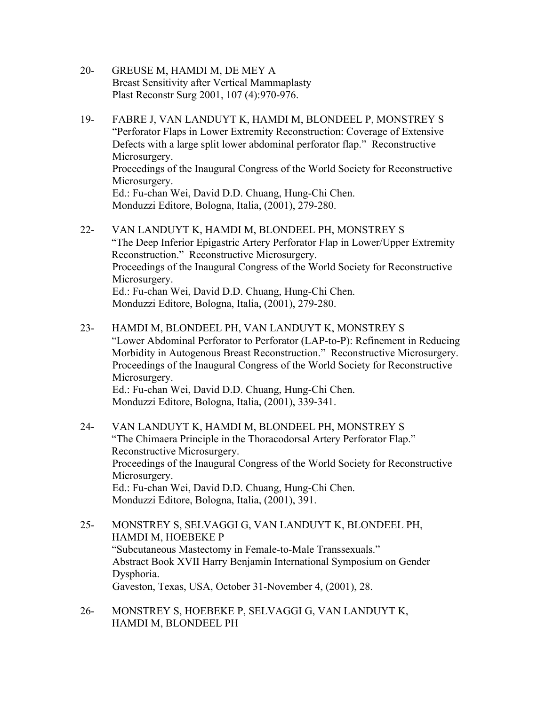- 20- GREUSE M, HAMDI M, DE MEY A Breast Sensitivity after Vertical Mammaplasty Plast Reconstr Surg 2001, 107 (4):970-976.
- 19- FABRE J, VAN LANDUYT K, HAMDI M, BLONDEEL P, MONSTREY S "Perforator Flaps in Lower Extremity Reconstruction: Coverage of Extensive Defects with a large split lower abdominal perforator flap." Reconstructive Microsurgery. Proceedings of the Inaugural Congress of the World Society for Reconstructive Microsurgery. Ed.: Fu-chan Wei, David D.D. Chuang, Hung-Chi Chen. Monduzzi Editore, Bologna, Italia, (2001), 279-280.
- 22- VAN LANDUYT K, HAMDI M, BLONDEEL PH, MONSTREY S "The Deep Inferior Epigastric Artery Perforator Flap in Lower/Upper Extremity Reconstruction." Reconstructive Microsurgery. Proceedings of the Inaugural Congress of the World Society for Reconstructive Microsurgery. Ed.: Fu-chan Wei, David D.D. Chuang, Hung-Chi Chen. Monduzzi Editore, Bologna, Italia, (2001), 279-280.
- 23- HAMDI M, BLONDEEL PH, VAN LANDUYT K, MONSTREY S "Lower Abdominal Perforator to Perforator (LAP-to-P): Refinement in Reducing Morbidity in Autogenous Breast Reconstruction." Reconstructive Microsurgery. Proceedings of the Inaugural Congress of the World Society for Reconstructive Microsurgery. Ed.: Fu-chan Wei, David D.D. Chuang, Hung-Chi Chen. Monduzzi Editore, Bologna, Italia, (2001), 339-341.
- 24- VAN LANDUYT K, HAMDI M, BLONDEEL PH, MONSTREY S "The Chimaera Principle in the Thoracodorsal Artery Perforator Flap." Reconstructive Microsurgery. Proceedings of the Inaugural Congress of the World Society for Reconstructive Microsurgery. Ed.: Fu-chan Wei, David D.D. Chuang, Hung-Chi Chen. Monduzzi Editore, Bologna, Italia, (2001), 391.
- 25- MONSTREY S, SELVAGGI G, VAN LANDUYT K, BLONDEEL PH, HAMDI M, HOEBEKE P "Subcutaneous Mastectomy in Female-to-Male Transsexuals." Abstract Book XVII Harry Benjamin International Symposium on Gender Dysphoria. Gaveston, Texas, USA, October 31-November 4, (2001), 28.
- 26- MONSTREY S, HOEBEKE P, SELVAGGI G, VAN LANDUYT K, HAMDI M, BLONDEEL PH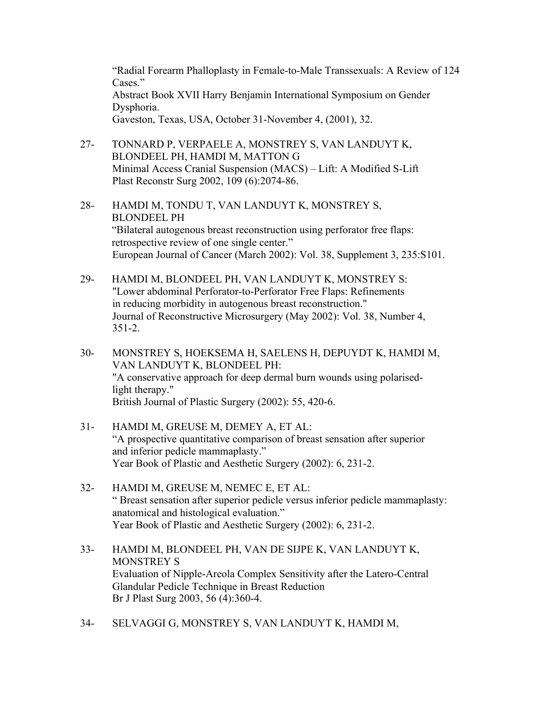"Radial Forearm Phalloplasty in Female-to-Male Transsexuals: A Review of 124 Cases<sup>"</sup> Abstract Book XVII Harry Benjamin International Symposium on Gender Dysphoria. Gaveston, Texas, USA, October 31-November 4, (2001), 32.

- 27- TONNARD P, VERPAELE A, MONSTREY S, VAN LANDUYT K, BLONDEEL PH, HAMDI M, MATTON G Minimal Access Cranial Suspension (MACS) – Lift: A Modified S-Lift Plast Reconstr Surg 2002, 109 (6):2074-86.
- 28- HAMDI M, TONDU T, VAN LANDUYT K, MONSTREY S, BLONDEEL PH "Bilateral autogenous breast reconstruction using perforator free flaps: retrospective review of one single center." European Journal of Cancer (March 2002): Vol. 38, Supplement 3, 235:S101.
- 29- HAMDI M, BLONDEEL PH, VAN LANDUYT K, MONSTREY S: "Lower abdominal Perforator-to-Perforator Free Flaps: Refinements in reducing morbidity in autogenous breast reconstruction." Journal of Reconstructive Microsurgery (May 2002): Vol. 38, Number 4, 351-2.
- 30- MONSTREY S, HOEKSEMA H, SAELENS H, DEPUYDT K, HAMDI M, VAN LANDUYT K, BLONDEEL PH: "A conservative approach for deep dermal burn wounds using polarisedlight therapy." British Journal of Plastic Surgery (2002): 55, 420-6.
- 31- HAMDI M, GREUSE M, DEMEY A, ET AL: "A prospective quantitative comparison of breast sensation after superior and inferior pedicle mammaplasty." Year Book of Plastic and Aesthetic Surgery (2002): 6, 231-2.
- 32- HAMDI M, GREUSE M, NEMEC E, ET AL: " Breast sensation after superior pedicle versus inferior pedicle mammaplasty: anatomical and histological evaluation." Year Book of Plastic and Aesthetic Surgery (2002): 6, 231-2.
- 33- HAMDI M, BLONDEEL PH, VAN DE SIJPE K, VAN LANDUYT K, MONSTREY S Evaluation of Nipple-Areola Complex Sensitivity after the Latero-Central Glandular Pedicle Technique in Breast Reduction Br J Plast Surg 2003, 56 (4):360-4.
- 34- SELVAGGI G, MONSTREY S, VAN LANDUYT K, HAMDI M,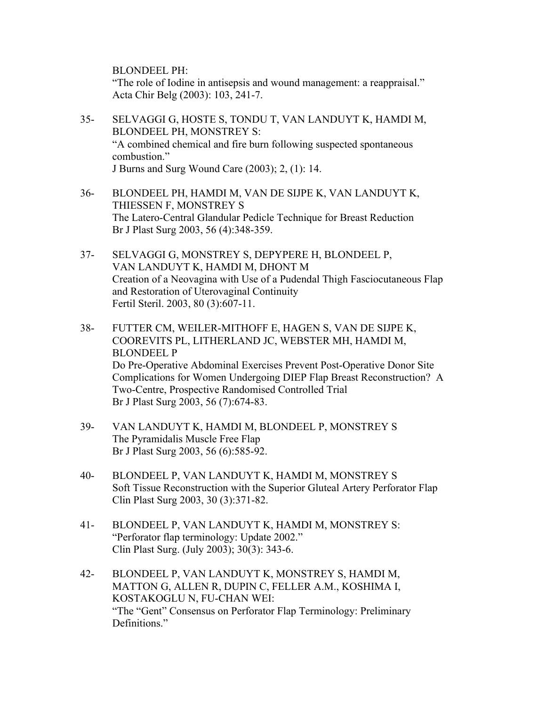BLONDEEL PH:

"The role of Iodine in antisepsis and wound management: a reappraisal." Acta Chir Belg (2003): 103, 241-7.

- 35- SELVAGGI G, HOSTE S, TONDU T, VAN LANDUYT K, HAMDI M, BLONDEEL PH, MONSTREY S: "A combined chemical and fire burn following suspected spontaneous combustion." J Burns and Surg Wound Care (2003); 2, (1): 14.
- 36- BLONDEEL PH, HAMDI M, VAN DE SIJPE K, VAN LANDUYT K, THIESSEN F, MONSTREY S The Latero-Central Glandular Pedicle Technique for Breast Reduction Br J Plast Surg 2003, 56 (4):348-359.
- 37- SELVAGGI G, MONSTREY S, DEPYPERE H, BLONDEEL P, VAN LANDUYT K, HAMDI M, DHONT M Creation of a Neovagina with Use of a Pudendal Thigh Fasciocutaneous Flap and Restoration of Uterovaginal Continuity Fertil Steril. 2003, 80 (3):607-11.
- 38- FUTTER CM, WEILER-MITHOFF E, HAGEN S, VAN DE SIJPE K, COOREVITS PL, LITHERLAND JC, WEBSTER MH, HAMDI M, BLONDEEL P Do Pre-Operative Abdominal Exercises Prevent Post-Operative Donor Site Complications for Women Undergoing DIEP Flap Breast Reconstruction? A Two-Centre, Prospective Randomised Controlled Trial Br J Plast Surg 2003, 56 (7):674-83.
- 39- VAN LANDUYT K, HAMDI M, BLONDEEL P, MONSTREY S The Pyramidalis Muscle Free Flap Br J Plast Surg 2003, 56 (6):585-92.
- 40- BLONDEEL P, VAN LANDUYT K, HAMDI M, MONSTREY S Soft Tissue Reconstruction with the Superior Gluteal Artery Perforator Flap Clin Plast Surg 2003, 30 (3):371-82.
- 41- BLONDEEL P, VAN LANDUYT K, HAMDI M, MONSTREY S: "Perforator flap terminology: Update 2002." Clin Plast Surg. (July 2003); 30(3): 343-6.
- 42- BLONDEEL P, VAN LANDUYT K, MONSTREY S, HAMDI M, MATTON G, ALLEN R, DUPIN C, FELLER A.M., KOSHIMA I, KOSTAKOGLU N, FU-CHAN WEI: "The "Gent" Consensus on Perforator Flap Terminology: Preliminary Definitions."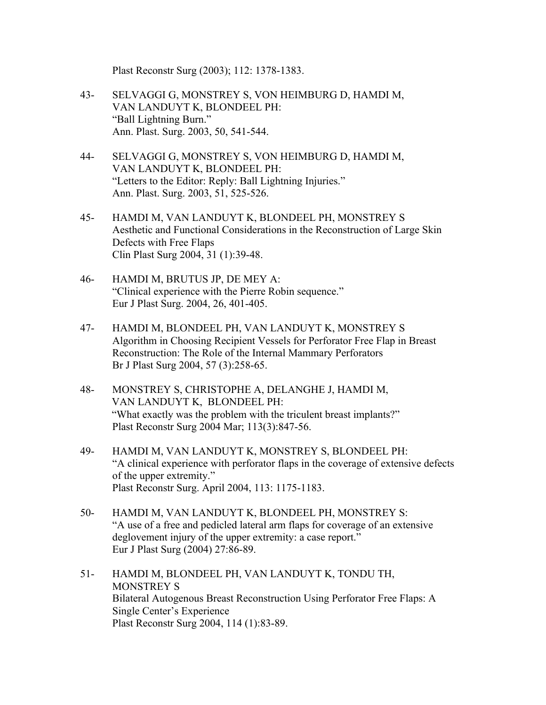Plast Reconstr Surg (2003); 112: 1378-1383.

- 43- SELVAGGI G, MONSTREY S, VON HEIMBURG D, HAMDI M, VAN LANDUYT K, BLONDEEL PH: "Ball Lightning Burn." Ann. Plast. Surg. 2003, 50, 541-544.
- 44- SELVAGGI G, MONSTREY S, VON HEIMBURG D, HAMDI M, VAN LANDUYT K, BLONDEEL PH: "Letters to the Editor: Reply: Ball Lightning Injuries." Ann. Plast. Surg. 2003, 51, 525-526.
- 45- HAMDI M, VAN LANDUYT K, BLONDEEL PH, MONSTREY S Aesthetic and Functional Considerations in the Reconstruction of Large Skin Defects with Free Flaps Clin Plast Surg 2004, 31 (1):39-48.
- 46- HAMDI M, BRUTUS JP, DE MEY A: "Clinical experience with the Pierre Robin sequence." Eur J Plast Surg. 2004, 26, 401-405.
- 47- HAMDI M, BLONDEEL PH, VAN LANDUYT K, MONSTREY S Algorithm in Choosing Recipient Vessels for Perforator Free Flap in Breast Reconstruction: The Role of the Internal Mammary Perforators Br J Plast Surg 2004, 57 (3):258-65.
- 48- MONSTREY S, CHRISTOPHE A, DELANGHE J, HAMDI M, VAN LANDUYT K, BLONDEEL PH: "What exactly was the problem with the triculent breast implants?" Plast Reconstr Surg 2004 Mar; 113(3):847-56.
- 49- HAMDI M, VAN LANDUYT K, MONSTREY S, BLONDEEL PH: "A clinical experience with perforator flaps in the coverage of extensive defects of the upper extremity." Plast Reconstr Surg. April 2004, 113: 1175-1183.
- 50- HAMDI M, VAN LANDUYT K, BLONDEEL PH, MONSTREY S: "A use of a free and pedicled lateral arm flaps for coverage of an extensive deglovement injury of the upper extremity: a case report." Eur J Plast Surg (2004) 27:86-89.
- 51- HAMDI M, BLONDEEL PH, VAN LANDUYT K, TONDU TH, MONSTREY S Bilateral Autogenous Breast Reconstruction Using Perforator Free Flaps: A Single Center's Experience Plast Reconstr Surg 2004, 114 (1):83-89.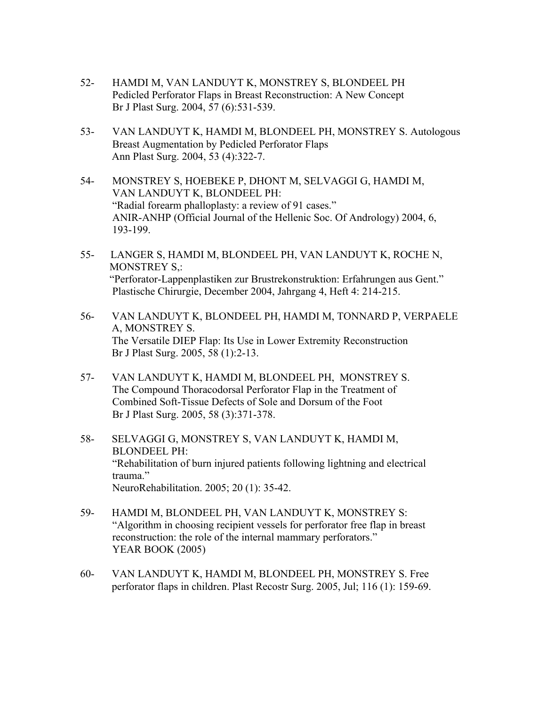- 52- HAMDI M, VAN LANDUYT K, MONSTREY S, BLONDEEL PH Pedicled Perforator Flaps in Breast Reconstruction: A New Concept Br J Plast Surg. 2004, 57 (6):531-539.
- 53- VAN LANDUYT K, HAMDI M, BLONDEEL PH, MONSTREY S. Autologous Breast Augmentation by Pedicled Perforator Flaps Ann Plast Surg. 2004, 53 (4):322-7.
- 54- MONSTREY S, HOEBEKE P, DHONT M, SELVAGGI G, HAMDI M, VAN LANDUYT K, BLONDEEL PH: "Radial forearm phalloplasty: a review of 91 cases." ANIR-ANHP (Official Journal of the Hellenic Soc. Of Andrology) 2004, 6, 193-199.
- 55- LANGER S, HAMDI M, BLONDEEL PH, VAN LANDUYT K, ROCHE N, MONSTREY S,: "Perforator-Lappenplastiken zur Brustrekonstruktion: Erfahrungen aus Gent." Plastische Chirurgie, December 2004, Jahrgang 4, Heft 4: 214-215.
- 56- VAN LANDUYT K, BLONDEEL PH, HAMDI M, TONNARD P, VERPAELE A, MONSTREY S. The Versatile DIEP Flap: Its Use in Lower Extremity Reconstruction Br J Plast Surg. 2005, 58 (1):2-13.
- 57- VAN LANDUYT K, HAMDI M, BLONDEEL PH, MONSTREY S. The Compound Thoracodorsal Perforator Flap in the Treatment of Combined Soft-Tissue Defects of Sole and Dorsum of the Foot Br J Plast Surg. 2005, 58 (3):371-378.
- 58- SELVAGGI G, MONSTREY S, VAN LANDUYT K, HAMDI M, BLONDEEL PH: "Rehabilitation of burn injured patients following lightning and electrical trauma." NeuroRehabilitation. 2005; 20 (1): 35-42.
- 59- HAMDI M, BLONDEEL PH, VAN LANDUYT K, MONSTREY S: "Algorithm in choosing recipient vessels for perforator free flap in breast reconstruction: the role of the internal mammary perforators." YEAR BOOK (2005)
- 60- VAN LANDUYT K, HAMDI M, BLONDEEL PH, MONSTREY S. Free perforator flaps in children. Plast Recostr Surg. 2005, Jul; 116 (1): 159-69.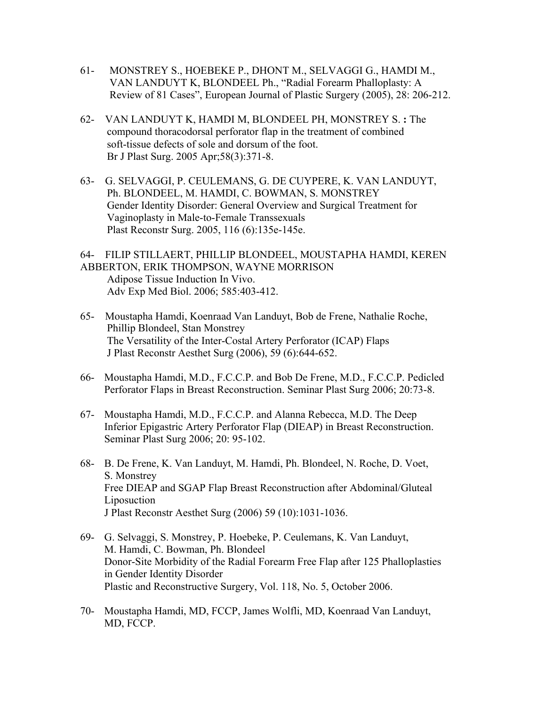- 61- MONSTREY S., HOEBEKE P., DHONT M., SELVAGGI G., HAMDI M., VAN LANDUYT K, BLONDEEL Ph., "Radial Forearm Phalloplasty: A Review of 81 Cases", European Journal of Plastic Surgery (2005), 28: 206-212.
- 62- VAN LANDUYT K, HAMDI M, BLONDEEL PH, MONSTREY S. **:** The compound thoracodorsal perforator flap in the treatment of combined soft-tissue defects of sole and dorsum of the foot. Br J Plast Surg. 2005 Apr;58(3):371-8.
- 63- G. SELVAGGI, P. CEULEMANS, G. DE CUYPERE, K. VAN LANDUYT, Ph. BLONDEEL, M. HAMDI, C. BOWMAN, S. MONSTREY Gender Identity Disorder: General Overview and Surgical Treatment for Vaginoplasty in Male-to-Female Transsexuals Plast Reconstr Surg. 2005, 116 (6):135e-145e.
- 64- FILIP STILLAERT, PHILLIP BLONDEEL, MOUSTAPHA HAMDI, KEREN ABBERTON, ERIK THOMPSON, WAYNE MORRISON Adipose Tissue Induction In Vivo. Adv Exp Med Biol. 2006; 585:403-412.
- 65- Moustapha Hamdi, Koenraad Van Landuyt, Bob de Frene, Nathalie Roche, Phillip Blondeel, Stan Monstrey The Versatility of the Inter-Costal Artery Perforator (ICAP) Flaps J Plast Reconstr Aesthet Surg (2006), 59 (6):644-652.
- 66- Moustapha Hamdi, M.D., F.C.C.P. and Bob De Frene, M.D., F.C.C.P. Pedicled Perforator Flaps in Breast Reconstruction. Seminar Plast Surg 2006; 20:73-8.
- 67- Moustapha Hamdi, M.D., F.C.C.P. and Alanna Rebecca, M.D. The Deep Inferior Epigastric Artery Perforator Flap (DIEAP) in Breast Reconstruction. Seminar Plast Surg 2006; 20: 95-102.
- 68- B. De Frene, K. Van Landuyt, M. Hamdi, Ph. Blondeel, N. Roche, D. Voet, S. Monstrey Free DIEAP and SGAP Flap Breast Reconstruction after Abdominal/Gluteal Liposuction J Plast Reconstr Aesthet Surg (2006) 59 (10):1031-1036.
- 69- G. Selvaggi, S. Monstrey, P. Hoebeke, P. Ceulemans, K. Van Landuyt, M. Hamdi, C. Bowman, Ph. Blondeel Donor-Site Morbidity of the Radial Forearm Free Flap after 125 Phalloplasties in Gender Identity Disorder Plastic and Reconstructive Surgery, Vol. 118, No. 5, October 2006.
- 70- Moustapha Hamdi, MD, FCCP, James Wolfli, MD, Koenraad Van Landuyt, MD, FCCP.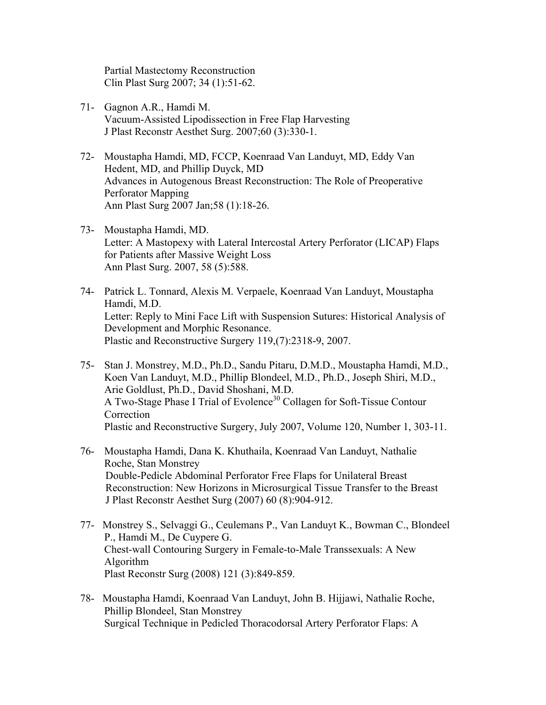Partial Mastectomy Reconstruction Clin Plast Surg 2007; 34 (1):51-62.

- 71- Gagnon A.R., Hamdi M. Vacuum-Assisted Lipodissection in Free Flap Harvesting J Plast Reconstr Aesthet Surg. 2007;60 (3):330-1.
- 72- Moustapha Hamdi, MD, FCCP, Koenraad Van Landuyt, MD, Eddy Van Hedent, MD, and Phillip Duyck, MD Advances in Autogenous Breast Reconstruction: The Role of Preoperative Perforator Mapping Ann Plast Surg 2007 Jan;58 (1):18-26.
- 73- Moustapha Hamdi, MD. Letter: A Mastopexy with Lateral Intercostal Artery Perforator (LICAP) Flaps for Patients after Massive Weight Loss Ann Plast Surg. 2007, 58 (5):588.
- 74- Patrick L. Tonnard, Alexis M. Verpaele, Koenraad Van Landuyt, Moustapha Hamdi, M.D. Letter: Reply to Mini Face Lift with Suspension Sutures: Historical Analysis of Development and Morphic Resonance. Plastic and Reconstructive Surgery 119,(7):2318-9, 2007.
- 75- Stan J. Monstrey, M.D., Ph.D., Sandu Pitaru, D.M.D., Moustapha Hamdi, M.D., Koen Van Landuyt, M.D., Phillip Blondeel, M.D., Ph.D., Joseph Shiri, M.D., Arie Goldlust, Ph.D., David Shoshani, M.D. A Two-Stage Phase I Trial of Evolence<sup>30</sup> Collagen for Soft-Tissue Contour Correction Plastic and Reconstructive Surgery, July 2007, Volume 120, Number 1, 303-11.
- 76- Moustapha Hamdi, Dana K. Khuthaila, Koenraad Van Landuyt, Nathalie Roche, Stan Monstrey Double-Pedicle Abdominal Perforator Free Flaps for Unilateral Breast Reconstruction: New Horizons in Microsurgical Tissue Transfer to the Breast J Plast Reconstr Aesthet Surg (2007) 60 (8):904-912.
- 77- Monstrey S., Selvaggi G., Ceulemans P., Van Landuyt K., Bowman C., Blondeel P., Hamdi M., De Cuypere G. Chest-wall Contouring Surgery in Female-to-Male Transsexuals: A New Algorithm Plast Reconstr Surg (2008) 121 (3):849-859.
- 78- Moustapha Hamdi, Koenraad Van Landuyt, John B. Hijjawi, Nathalie Roche, Phillip Blondeel, Stan Monstrey Surgical Technique in Pedicled Thoracodorsal Artery Perforator Flaps: A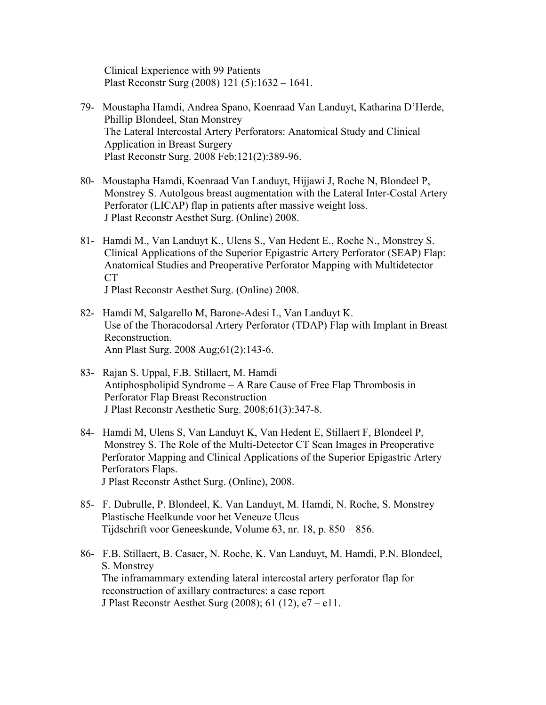Clinical Experience with 99 Patients Plast Reconstr Surg (2008) 121 (5):1632 – 1641.

- 79- Moustapha Hamdi, Andrea Spano, Koenraad Van Landuyt, Katharina D'Herde, Phillip Blondeel, Stan Monstrey The Lateral Intercostal Artery Perforators: Anatomical Study and Clinical Application in Breast Surgery Plast Reconstr Surg. 2008 Feb;121(2):389-96.
- 80- Moustapha Hamdi, Koenraad Van Landuyt, Hijjawi J, Roche N, Blondeel P, Monstrey S. Autolgous breast augmentation with the Lateral Inter-Costal Artery Perforator (LICAP) flap in patients after massive weight loss. J Plast Reconstr Aesthet Surg. (Online) 2008.
- 81- Hamdi M., Van Landuyt K., Ulens S., Van Hedent E., Roche N., Monstrey S. Clinical Applications of the Superior Epigastric Artery Perforator (SEAP) Flap: Anatomical Studies and Preoperative Perforator Mapping with Multidetector CT J Plast Reconstr Aesthet Surg. (Online) 2008.
- 82- Hamdi M, Salgarello M, Barone-Adesi L, Van Landuyt K. Use of the Thoracodorsal Artery Perforator (TDAP) Flap with Implant in Breast Reconstruction.

Ann Plast Surg. 2008 Aug;61(2):143-6.

- 83- Rajan S. Uppal, F.B. Stillaert, M. Hamdi Antiphospholipid Syndrome – A Rare Cause of Free Flap Thrombosis in Perforator Flap Breast Reconstruction J Plast Reconstr Aesthetic Surg. 2008;61(3):347-8.
- 84- Hamdi M, Ulens S, Van Landuyt K, Van Hedent E, Stillaert F, Blondeel P, Monstrey S. The Role of the Multi-Detector CT Scan Images in Preoperative Perforator Mapping and Clinical Applications of the Superior Epigastric Artery Perforators Flaps. J Plast Reconstr Asthet Surg. (Online), 2008.
- 85- F. Dubrulle, P. Blondeel, K. Van Landuyt, M. Hamdi, N. Roche, S. Monstrey Plastische Heelkunde voor het Veneuze Ulcus Tijdschrift voor Geneeskunde, Volume 63, nr. 18, p. 850 – 856.
- 86- F.B. Stillaert, B. Casaer, N. Roche, K. Van Landuyt, M. Hamdi, P.N. Blondeel, S. Monstrey The inframammary extending lateral intercostal artery perforator flap for reconstruction of axillary contractures: a case report J Plast Reconstr Aesthet Surg (2008); 61 (12), e7 – e11.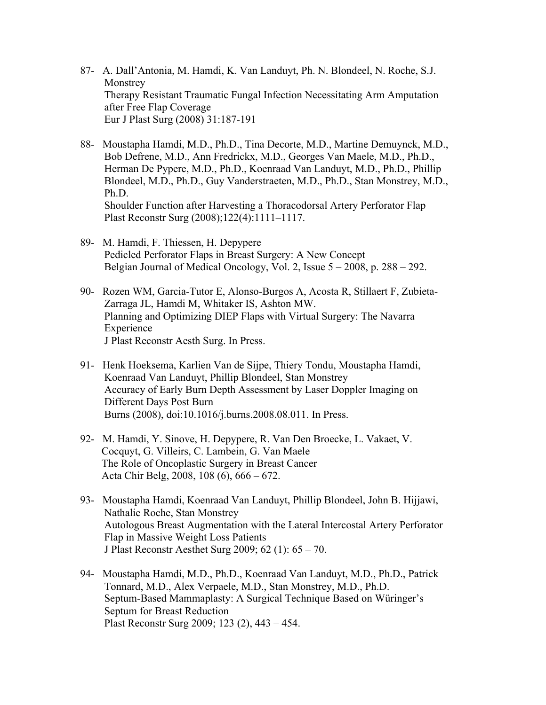- 87- A. Dall'Antonia, M. Hamdi, K. Van Landuyt, Ph. N. Blondeel, N. Roche, S.J. Monstrey Therapy Resistant Traumatic Fungal Infection Necessitating Arm Amputation after Free Flap Coverage Eur J Plast Surg (2008) 31:187-191
- 88- Moustapha Hamdi, M.D., Ph.D., Tina Decorte, M.D., Martine Demuynck, M.D., Bob Defrene, M.D., Ann Fredrickx, M.D., Georges Van Maele, M.D., Ph.D., Herman De Pypere, M.D., Ph.D., Koenraad Van Landuyt, M.D., Ph.D., Phillip Blondeel, M.D., Ph.D., Guy Vanderstraeten, M.D., Ph.D., Stan Monstrey, M.D., Ph.D. Shoulder Function after Harvesting a Thoracodorsal Artery Perforator Flap Plast Reconstr Surg (2008);122(4):1111–1117.
- 89- M. Hamdi, F. Thiessen, H. Depypere Pedicled Perforator Flaps in Breast Surgery: A New Concept Belgian Journal of Medical Oncology, Vol. 2, Issue 5 – 2008, p. 288 – 292.
- 90- Rozen WM, Garcia-Tutor E, Alonso-Burgos A, Acosta R, Stillaert F, Zubieta- Zarraga JL, Hamdi M, Whitaker IS, Ashton MW. Planning and Optimizing DIEP Flaps with Virtual Surgery: The Navarra Experience J Plast Reconstr Aesth Surg. In Press.
- 91- Henk Hoeksema, Karlien Van de Sijpe, Thiery Tondu, Moustapha Hamdi, Koenraad Van Landuyt, Phillip Blondeel, Stan Monstrey Accuracy of Early Burn Depth Assessment by Laser Doppler Imaging on Different Days Post Burn Burns (2008), doi:10.1016/j.burns.2008.08.011. In Press.
- 92- M. Hamdi, Y. Sinove, H. Depypere, R. Van Den Broecke, L. Vakaet, V. Cocquyt, G. Villeirs, C. Lambein, G. Van Maele The Role of Oncoplastic Surgery in Breast Cancer Acta Chir Belg, 2008, 108 (6), 666 – 672.
- 93- Moustapha Hamdi, Koenraad Van Landuyt, Phillip Blondeel, John B. Hijjawi, Nathalie Roche, Stan Monstrey Autologous Breast Augmentation with the Lateral Intercostal Artery Perforator Flap in Massive Weight Loss Patients J Plast Reconstr Aesthet Surg 2009; 62 (1): 65 – 70.
- 94- Moustapha Hamdi, M.D., Ph.D., Koenraad Van Landuyt, M.D., Ph.D., Patrick Tonnard, M.D., Alex Verpaele, M.D., Stan Monstrey, M.D., Ph.D. Septum-Based Mammaplasty: A Surgical Technique Based on Würinger's Septum for Breast Reduction Plast Reconstr Surg 2009; 123 (2), 443 – 454.